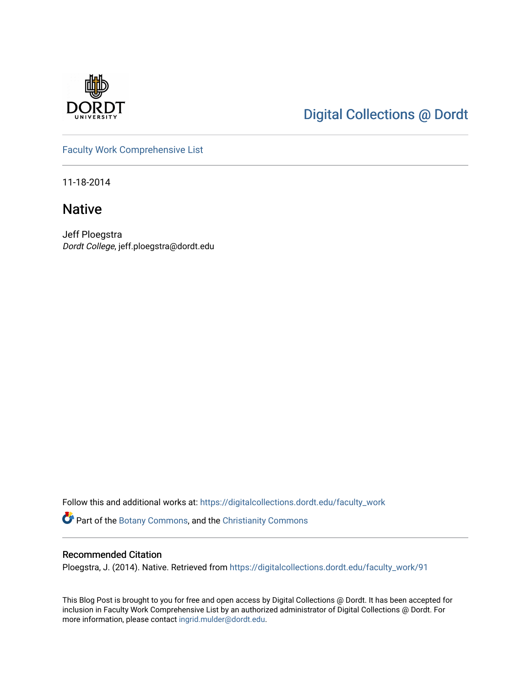

## [Digital Collections @ Dordt](https://digitalcollections.dordt.edu/)

[Faculty Work Comprehensive List](https://digitalcollections.dordt.edu/faculty_work)

11-18-2014

### Native

Jeff Ploegstra Dordt College, jeff.ploegstra@dordt.edu

Follow this and additional works at: [https://digitalcollections.dordt.edu/faculty\\_work](https://digitalcollections.dordt.edu/faculty_work?utm_source=digitalcollections.dordt.edu%2Ffaculty_work%2F91&utm_medium=PDF&utm_campaign=PDFCoverPages) 

Part of the [Botany Commons,](http://network.bepress.com/hgg/discipline/104?utm_source=digitalcollections.dordt.edu%2Ffaculty_work%2F91&utm_medium=PDF&utm_campaign=PDFCoverPages) and the [Christianity Commons](http://network.bepress.com/hgg/discipline/1181?utm_source=digitalcollections.dordt.edu%2Ffaculty_work%2F91&utm_medium=PDF&utm_campaign=PDFCoverPages)

#### Recommended Citation

Ploegstra, J. (2014). Native. Retrieved from [https://digitalcollections.dordt.edu/faculty\\_work/91](https://digitalcollections.dordt.edu/faculty_work/91?utm_source=digitalcollections.dordt.edu%2Ffaculty_work%2F91&utm_medium=PDF&utm_campaign=PDFCoverPages) 

This Blog Post is brought to you for free and open access by Digital Collections @ Dordt. It has been accepted for inclusion in Faculty Work Comprehensive List by an authorized administrator of Digital Collections @ Dordt. For more information, please contact [ingrid.mulder@dordt.edu.](mailto:ingrid.mulder@dordt.edu)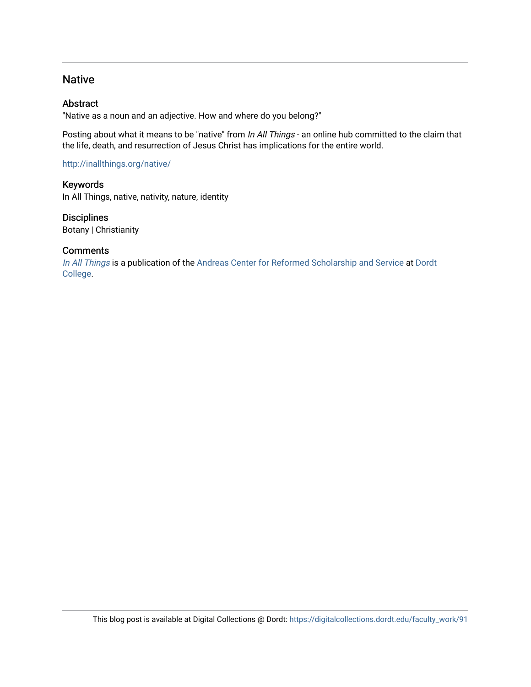#### Native

#### Abstract

"Native as a noun and an adjective. How and where do you belong?"

Posting about what it means to be "native" from In All Things - an online hub committed to the claim that the life, death, and resurrection of Jesus Christ has implications for the entire world.

<http://inallthings.org/native/>

Keywords In All Things, native, nativity, nature, identity

**Disciplines** Botany | Christianity

#### **Comments**

[In All Things](http://inallthings.org/) is a publication of the [Andreas Center for Reformed Scholarship and Service](http://www.dordt.edu/services_support/andreas_center/) at Dordt [College](http://www.dordt.edu/).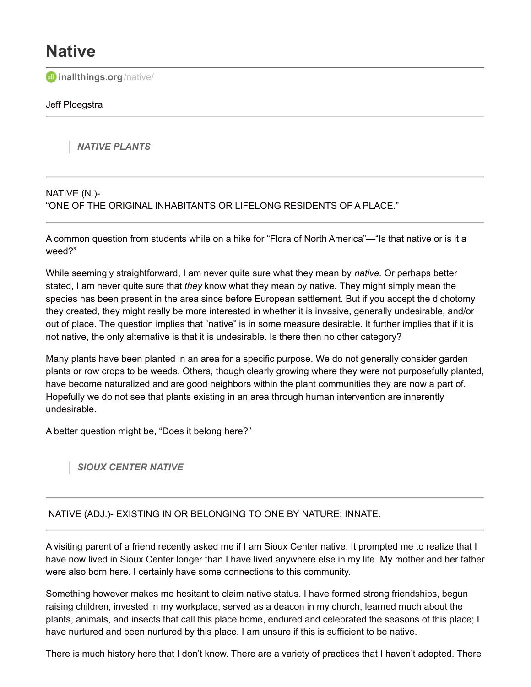# **Native**

**all [inallthings.org](http://inallthings.org/native/)**/native/

#### Jeff Ploegstra

*NATIVE PLANTS*

#### NATIVE (N.)- "ONE OF THE ORIGINAL INHABITANTS OR LIFELONG RESIDENTS OF A PLACE."

A common question from students while on a hike for "Flora of North America"—"Is that native or is it a weed?"

While seemingly straightforward, I am never quite sure what they mean by *native*. Or perhaps better stated, I am never quite sure that *they* know what they mean by native. They might simply mean the species has been present in the area since before European settlement. But if you accept the dichotomy they created, they might really be more interested in whether it is invasive, generally undesirable, and/or out of place. The question implies that "native" is in some measure desirable. It further implies that if it is not native, the only alternative is that it is undesirable. Is there then no other category?

Many plants have been planted in an area for a specific purpose. We do not generally consider garden plants or row crops to be weeds. Others, though clearly growing where they were not purposefully planted, have become naturalized and are good neighbors within the plant communities they are now a part of. Hopefully we do not see that plants existing in an area through human intervention are inherently undesirable.

A better question might be, "Does it belong here?"

*SIOUX CENTER NATIVE*

#### NATIVE (ADJ.)- EXISTING IN OR BELONGING TO ONE BY NATURE; INNATE.

A visiting parent of a friend recently asked me if I am Sioux Center native. It prompted me to realize that I have now lived in Sioux Center longer than I have lived anywhere else in my life. My mother and her father were also born here. I certainly have some connections to this community.

Something however makes me hesitant to claim native status. I have formed strong friendships, begun raising children, invested in my workplace, served as a deacon in my church, learned much about the plants, animals, and insects that call this place home, endured and celebrated the seasons of this place; I have nurtured and been nurtured by this place. I am unsure if this is sufficient to be native.

There is much history here that I don't know. There are a variety of practices that I haven't adopted. There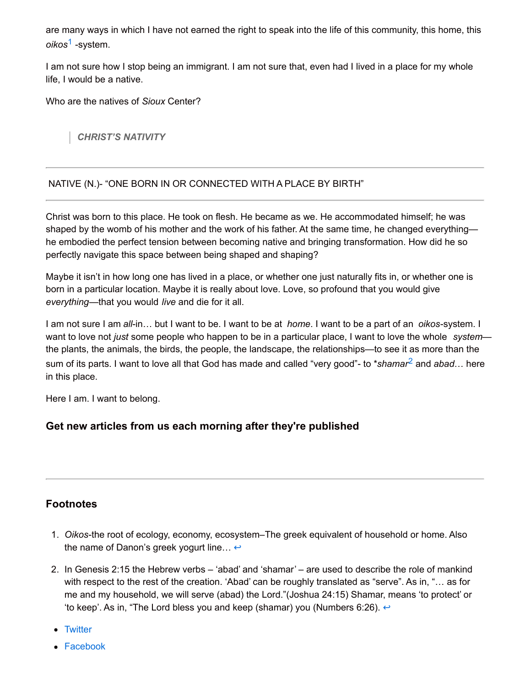are many ways in which I have not earned the right to speak into the life of this community, this home, this *oikos* [1](http://inallthings.org/native/#fn1-2561) -system.

I am not sure how I stop being an immigrant. I am not sure that, even had I lived in a place for my whole life, I would be a native.

Who are the natives of *Sioux* Center?

*CHRIST'S NATIVITY*

#### NATIVE (N.)- "ONE BORN IN OR CONNECTED WITH A PLACE BY BIRTH"

Christ was born to this place. He took on flesh. He became as we. He accommodated himself; he was shaped by the womb of his mother and the work of his father. At the same time, he changed everything he embodied the perfect tension between becoming native and bringing transformation. How did he so perfectly navigate this space between being shaped and shaping?

Maybe it isn't in how long one has lived in a place, or whether one just naturally fits in, or whether one is born in a particular location. Maybe it is really about love. Love, so profound that you would give *everything*—that you would *live* and die for it all.

I am not sure I am *all*-in… but I want to be. I want to be at *home*. I want to be a part of an *oikos*-system. I want to love not *just* some people who happen to be in a particular place, I want to love the whole *system* the plants, the animals, the birds, the people, the landscape, the relationships—to see it as more than the sum of its parts. I want to love all that God has made and called "very good"- to \**shamar* [2](http://inallthings.org/native/#fn2-2561) and *abad*… here in this place.

Here I am. I want to belong.

#### **Get new articles from us each morning after they're published**

#### **Footnotes**

- 1. *Oikos*-the root of ecology, economy, ecosystem–The greek equivalent of household or home. Also the name of Danon's greek yogurt line...  $\leftrightarrow$
- 2. In Genesis 2:15 the Hebrew verbs 'abad' and 'shamar' are used to describe the role of mankind with respect to the rest of the creation. 'Abad' can be roughly translated as "serve". As in, "… as for me and my household, we will serve (abad) the Lord."(Joshua 24:15) Shamar, means 'to protect' or 'to keep'. As in, "The Lord bless you and keep (shamar) you (Numbers 6:26).  $\leftrightarrow$
- [Twitter](http://twitter.com/share?text=Native&url=http%3A%2F%2Finallthings.org%2Fnative%2F)
- [Facebook](http://www.facebook.com/sharer.php?u=http%3A%2F%2Finallthings.org%2Fnative%2F&t=Native)